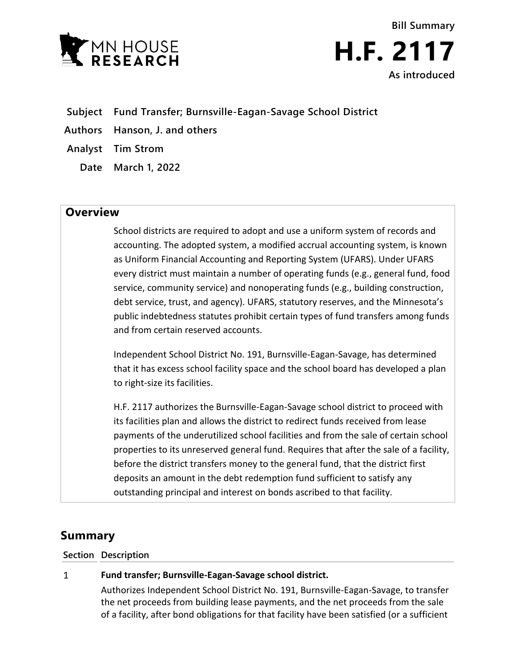



- **Subject Fund Transfer; Burnsville-Eagan-Savage School District**
- **Authors Hanson, J. and others**
- **Analyst Tim Strom**
	- **Date March 1, 2022**

# **Overview**

School districts are required to adopt and use a uniform system of records and accounting. The adopted system, a modified accrual accounting system, is known as Uniform Financial Accounting and Reporting System (UFARS). Under UFARS every district must maintain a number of operating funds (e.g., general fund, food service, community service) and nonoperating funds (e.g., building construction, debt service, trust, and agency). UFARS, statutory reserves, and the Minnesota's public indebtedness statutes prohibit certain types of fund transfers among funds and from certain reserved accounts.

Independent School District No. 191, Burnsville-Eagan-Savage, has determined that it has excess school facility space and the school board has developed a plan to right-size its facilities.

H.F. 2117 authorizes the Burnsville-Eagan-Savage school district to proceed with its facilities plan and allows the district to redirect funds received from lease payments of the underutilized school facilities and from the sale of certain school properties to its unreserved general fund. Requires that after the sale of a facility, before the district transfers money to the general fund, that the district first deposits an amount in the debt redemption fund sufficient to satisfy any outstanding principal and interest on bonds ascribed to that facility.

# **Summary**

### **Section Description**

#### $\mathbf{1}$ **Fund transfer; Burnsville-Eagan-Savage school district.**

Authorizes Independent School District No. 191, Burnsville-Eagan-Savage, to transfer the net proceeds from building lease payments, and the net proceeds from the sale of a facility, after bond obligations for that facility have been satisfied (or a sufficient